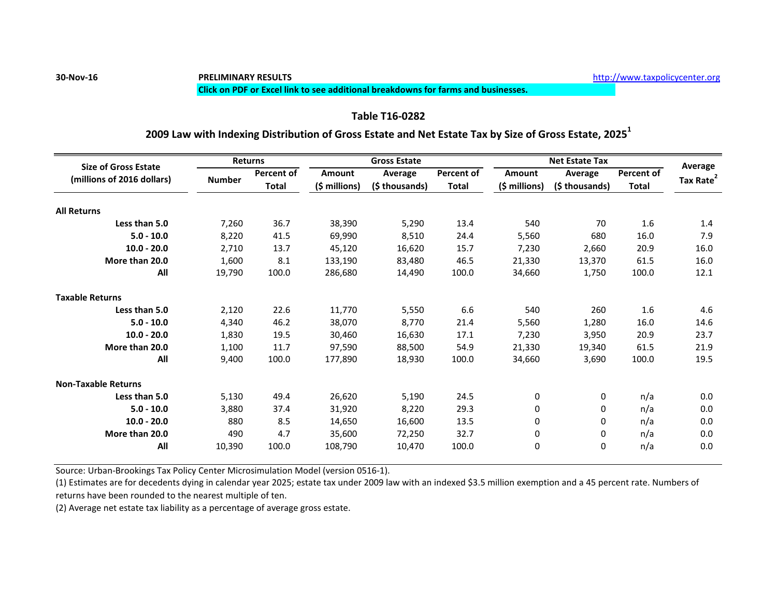### **Click on PDF or Excel link to see additional breakdowns for farms and businesses.**

## **Table T16-0282**

### **2009 Law with Indexing Distribution of Gross Estate and Net Estate Tax by Size of Gross Estate, 2025<sup>1</sup>**

| <b>Size of Gross Estate</b><br>(millions of 2016 dollars) | <b>Returns</b> |                            | <b>Gross Estate</b> |                                  |              | <b>Net Estate Tax</b>          |                           |                            | Average               |
|-----------------------------------------------------------|----------------|----------------------------|---------------------|----------------------------------|--------------|--------------------------------|---------------------------|----------------------------|-----------------------|
|                                                           | <b>Number</b>  | Percent of<br><b>Total</b> | Amount              | <b>Average</b><br>(\$ thousands) | Percent of   | <b>Amount</b><br>(\$ millions) | Average<br>(\$ thousands) | <b>Percent of</b><br>Total |                       |
|                                                           |                |                            | (\$ millions)       |                                  | <b>Total</b> |                                |                           |                            | Tax Rate <sup>2</sup> |
| <b>All Returns</b>                                        |                |                            |                     |                                  |              |                                |                           |                            |                       |
| Less than 5.0                                             | 7,260          | 36.7                       | 38,390              | 5,290                            | 13.4         | 540                            | 70                        | 1.6                        | 1.4                   |
| $5.0 - 10.0$                                              | 8,220          | 41.5                       | 69,990              | 8,510                            | 24.4         | 5,560                          | 680                       | 16.0                       | 7.9                   |
| $10.0 - 20.0$                                             | 2,710          | 13.7                       | 45,120              | 16,620                           | 15.7         | 7,230                          | 2,660                     | 20.9                       | 16.0                  |
| More than 20.0                                            | 1.600          | 8.1                        | 133.190             | 83.480                           | 46.5         | 21,330                         | 13.370                    | 61.5                       | 16.0                  |
| All                                                       | 19,790         | 100.0                      | 286,680             | 14.490                           | 100.0        | 34,660                         | 1,750                     | 100.0                      | 12.1                  |
| <b>Taxable Returns</b>                                    |                |                            |                     |                                  |              |                                |                           |                            |                       |
| Less than 5.0                                             | 2,120          | 22.6                       | 11,770              | 5,550                            | 6.6          | 540                            | 260                       | 1.6                        | 4.6                   |
| $5.0 - 10.0$                                              | 4.340          | 46.2                       | 38,070              | 8.770                            | 21.4         | 5,560                          | 1,280                     | 16.0                       | 14.6                  |
| $10.0 - 20.0$                                             | 1,830          | 19.5                       | 30,460              | 16,630                           | 17.1         | 7,230                          | 3,950                     | 20.9                       | 23.7                  |
| More than 20.0                                            | 1,100          | 11.7                       | 97,590              | 88,500                           | 54.9         | 21,330                         | 19,340                    | 61.5                       | 21.9                  |
| All                                                       | 9,400          | 100.0                      | 177,890             | 18,930                           | 100.0        | 34,660                         | 3,690                     | 100.0                      | 19.5                  |
| <b>Non-Taxable Returns</b>                                |                |                            |                     |                                  |              |                                |                           |                            |                       |
| Less than 5.0                                             | 5,130          | 49.4                       | 26,620              | 5,190                            | 24.5         | 0                              | 0                         | n/a                        | 0.0                   |
| $5.0 - 10.0$                                              | 3,880          | 37.4                       | 31,920              | 8,220                            | 29.3         | 0                              | 0                         | n/a                        | 0.0                   |
| $10.0 - 20.0$                                             | 880            | 8.5                        | 14,650              | 16,600                           | 13.5         | 0                              | 0                         | n/a                        | 0.0                   |
| More than 20.0                                            | 490            | 4.7                        | 35,600              | 72,250                           | 32.7         | 0                              | 0                         | n/a                        | 0.0                   |
| All                                                       | 10,390         | 100.0                      | 108,790             | 10.470                           | 100.0        | 0                              | $\mathbf 0$               | n/a                        | 0.0                   |

Source: Urban-Brookings Tax Policy Center Microsimulation Model (version 0516-1).

(1) Estimates are for decedents dying in calendar year 2025; estate tax under 2009 law with an indexed \$3.5 million exemption and a 45 percent rate. Numbers of returns have been rounded to the nearest multiple of ten.

(2) Average net estate tax liability as a percentage of average gross estate.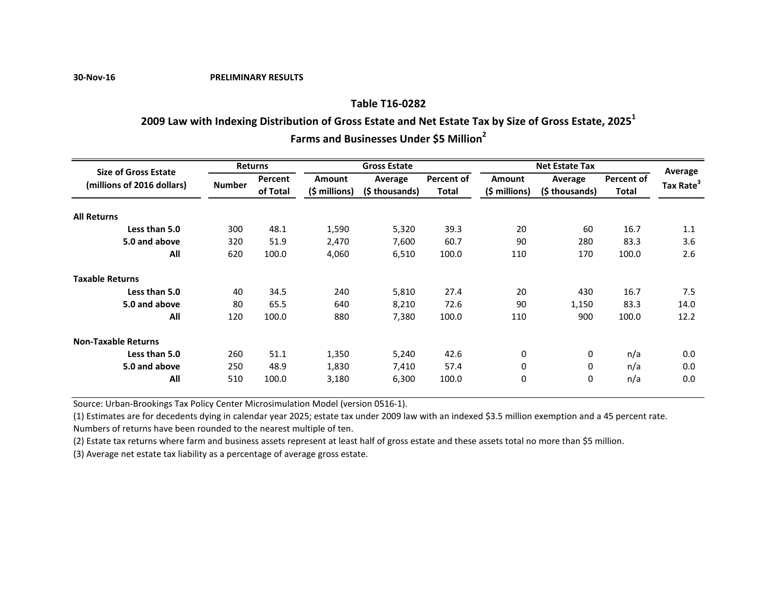**30-Nov-16 PRELIMINARY RESULTS**

### **Table T16-0282**

# **2009 Law with Indexing Distribution of Gross Estate and Net Estate Tax by Size of Gross Estate, 2025<sup>1</sup>**

**Farms and Businesses Under \$5 Million<sup>2</sup>**

| <b>Size of Gross Estate</b> | <b>Returns</b> |          |                        | <b>Gross Estate</b> |                   | <b>Net Estate Tax</b> | Average        |                   |                       |
|-----------------------------|----------------|----------|------------------------|---------------------|-------------------|-----------------------|----------------|-------------------|-----------------------|
| (millions of 2016 dollars)  |                | Percent  | Amount                 | Average             | <b>Percent of</b> | <b>Amount</b>         | Average        | <b>Percent of</b> |                       |
|                             | <b>Number</b>  | of Total | $(5 \text{ millions})$ | (\$ thousands)      | <b>Total</b>      | $(5$ millions)        | (\$ thousands) | Total             | Tax Rate <sup>3</sup> |
| <b>All Returns</b>          |                |          |                        |                     |                   |                       |                |                   |                       |
| Less than 5.0               | 300            | 48.1     | 1,590                  | 5,320               | 39.3              | 20                    | 60             | 16.7              | 1.1                   |
| 5.0 and above               | 320            | 51.9     | 2,470                  | 7,600               | 60.7              | 90                    | 280            | 83.3              | 3.6                   |
| All                         | 620            | 100.0    | 4,060                  | 6,510               | 100.0             | 110                   | 170            | 100.0             | 2.6                   |
| <b>Taxable Returns</b>      |                |          |                        |                     |                   |                       |                |                   |                       |
| Less than 5.0               | 40             | 34.5     | 240                    | 5,810               | 27.4              | 20                    | 430            | 16.7              | 7.5                   |
| 5.0 and above               | 80             | 65.5     | 640                    | 8,210               | 72.6              | 90                    | 1,150          | 83.3              | 14.0                  |
| All                         | 120            | 100.0    | 880                    | 7,380               | 100.0             | 110                   | 900            | 100.0             | 12.2                  |
| <b>Non-Taxable Returns</b>  |                |          |                        |                     |                   |                       |                |                   |                       |
| Less than 5.0               | 260            | 51.1     | 1,350                  | 5,240               | 42.6              | $\mathbf 0$           | 0              | n/a               | 0.0                   |
| 5.0 and above               | 250            | 48.9     | 1,830                  | 7,410               | 57.4              | 0                     | 0              | n/a               | 0.0                   |
| All                         | 510            | 100.0    | 3,180                  | 6,300               | 100.0             | $\mathbf 0$           | 0              | n/a               | 0.0                   |

Source: Urban-Brookings Tax Policy Center Microsimulation Model (version 0516-1).

(1) Estimates are for decedents dying in calendar year 2025; estate tax under 2009 law with an indexed \$3.5 million exemption and a 45 percent rate. Numbers of returns have been rounded to the nearest multiple of ten.

(2) Estate tax returns where farm and business assets represent at least half of gross estate and these assets total no more than \$5 million.

(3) Average net estate tax liability as a percentage of average gross estate.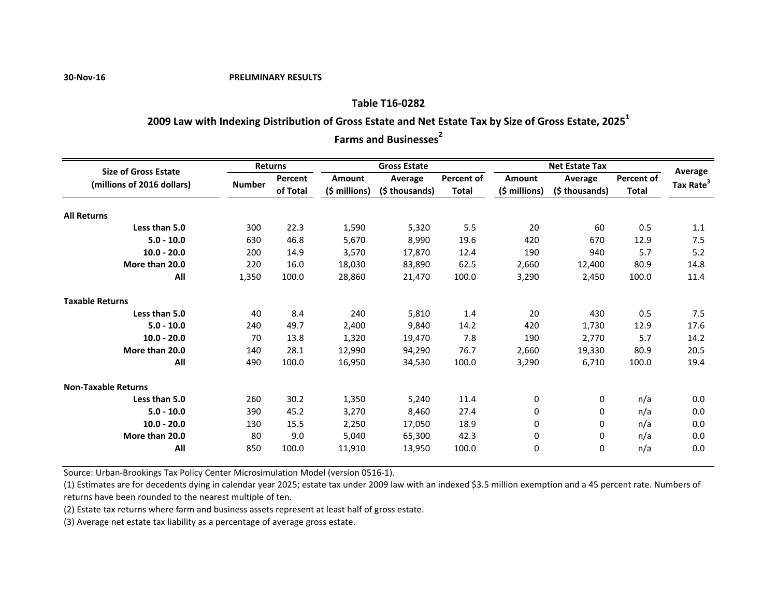#### **30-Nov-16 PRELIMINARY RESULTS**

### **Table T16-0282**

# **2009 Law with Indexing Distribution of Gross Estate and Net Estate Tax by Size of Gross Estate, 2025<sup>1</sup>**

**Farms and Businesses**<sup>2</sup>

| <b>Size of Gross Estate</b><br>(millions of 2016 dollars) |               | Returns             | <b>Gross Estate</b>      |                           |                   | <b>Net Estate Tax</b> |                |                            | Average               |
|-----------------------------------------------------------|---------------|---------------------|--------------------------|---------------------------|-------------------|-----------------------|----------------|----------------------------|-----------------------|
|                                                           |               | Percent<br>of Total | Amount                   | Average<br>(\$ thousands) | <b>Percent of</b> | <b>Amount</b>         | Average        | Percent of<br><b>Total</b> | Tax Rate <sup>3</sup> |
|                                                           | <b>Number</b> |                     | $(\frac{1}{2} millions)$ |                           | <b>Total</b>      | (\$ millions)         | (\$ thousands) |                            |                       |
| <b>All Returns</b>                                        |               |                     |                          |                           |                   |                       |                |                            |                       |
| Less than 5.0                                             | 300           | 22.3                | 1,590                    | 5,320                     | 5.5               | 20                    | 60             | 0.5                        | 1.1                   |
| $5.0 - 10.0$                                              | 630           | 46.8                | 5,670                    | 8,990                     | 19.6              | 420                   | 670            | 12.9                       | 7.5                   |
| $10.0 - 20.0$                                             | 200           | 14.9                | 3,570                    | 17,870                    | 12.4              | 190                   | 940            | 5.7                        | 5.2                   |
| More than 20.0                                            | 220           | 16.0                | 18,030                   | 83,890                    | 62.5              | 2,660                 | 12,400         | 80.9                       | 14.8                  |
| All                                                       | 1,350         | 100.0               | 28,860                   | 21,470                    | 100.0             | 3,290                 | 2,450          | 100.0                      | 11.4                  |
| <b>Taxable Returns</b>                                    |               |                     |                          |                           |                   |                       |                |                            |                       |
| Less than 5.0                                             | 40            | 8.4                 | 240                      | 5,810                     | 1.4               | 20                    | 430            | 0.5                        | 7.5                   |
| $5.0 - 10.0$                                              | 240           | 49.7                | 2,400                    | 9,840                     | 14.2              | 420                   | 1,730          | 12.9                       | 17.6                  |
| $10.0 - 20.0$                                             | 70            | 13.8                | 1,320                    | 19,470                    | 7.8               | 190                   | 2,770          | 5.7                        | 14.2                  |
| More than 20.0                                            | 140           | 28.1                | 12,990                   | 94,290                    | 76.7              | 2,660                 | 19,330         | 80.9                       | 20.5                  |
| All                                                       | 490           | 100.0               | 16,950                   | 34,530                    | 100.0             | 3,290                 | 6,710          | 100.0                      | 19.4                  |
| <b>Non-Taxable Returns</b>                                |               |                     |                          |                           |                   |                       |                |                            |                       |
| Less than 5.0                                             | 260           | 30.2                | 1,350                    | 5,240                     | 11.4              | 0                     | 0              | n/a                        | 0.0                   |
| $5.0 - 10.0$                                              | 390           | 45.2                | 3,270                    | 8,460                     | 27.4              | 0                     | 0              | n/a                        | 0.0                   |
| $10.0 - 20.0$                                             | 130           | 15.5                | 2,250                    | 17,050                    | 18.9              | 0                     | 0              | n/a                        | 0.0                   |
| More than 20.0                                            | 80            | 9.0                 | 5,040                    | 65,300                    | 42.3              | 0                     | 0              | n/a                        | 0.0                   |
| All                                                       | 850           | 100.0               | 11,910                   | 13,950                    | 100.0             | 0                     | 0              | n/a                        | 0.0                   |

Source: Urban-Brookings Tax Policy Center Microsimulation Model (version 0516-1).

(1) Estimates are for decedents dying in calendar year 2025; estate tax under 2009 law with an indexed \$3.5 million exemption and a 45 percent rate. Numbers of returns have been rounded to the nearest multiple of ten.

(2) Estate tax returns where farm and business assets represent at least half of gross estate.

(3) Average net estate tax liability as a percentage of average gross estate.